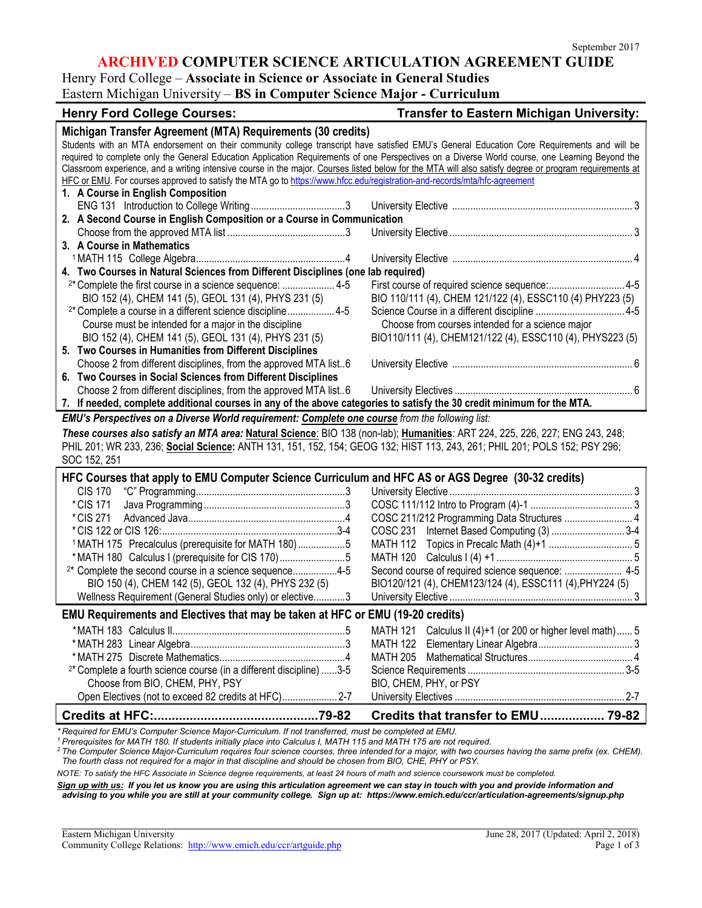#### **ARCHIVED COMPUTER SCIENCE ARTICULATION AGREEMENT GUIDE**

## Henry Ford College – **Associate in Science or Associate in General Studies** Eastern Michigan University – **BS in Computer Science Major - Curriculum**

| <b>Henry Ford College Courses:</b>                                                                                                                      | <b>Transfer to Eastern Michigan University:</b>            |  |
|---------------------------------------------------------------------------------------------------------------------------------------------------------|------------------------------------------------------------|--|
| Michigan Transfer Agreement (MTA) Requirements (30 credits)                                                                                             |                                                            |  |
| Students with an MTA endorsement on their community college transcript have satisfied EMU's General Education Core Requirements and will be             |                                                            |  |
| required to complete only the General Education Application Requirements of one Perspectives on a Diverse World course, one Learning Beyond the         |                                                            |  |
| Classroom experience, and a writing intensive course in the major. Courses listed below for the MTA will also satisfy degree or program requirements at |                                                            |  |
| HFC or EMU. For courses approved to satisfy the MTA go to https://www.hfcc.edu/registration-and-records/mta/hfc-agreement                               |                                                            |  |
| 1. A Course in English Composition                                                                                                                      |                                                            |  |
|                                                                                                                                                         |                                                            |  |
| 2. A Second Course in English Composition or a Course in Communication                                                                                  |                                                            |  |
|                                                                                                                                                         |                                                            |  |
| 3. A Course in Mathematics                                                                                                                              |                                                            |  |
|                                                                                                                                                         |                                                            |  |
| 4. Two Courses in Natural Sciences from Different Disciplines (one lab required)                                                                        |                                                            |  |
| <sup>2*</sup> Complete the first course in a science sequence:  4-5                                                                                     |                                                            |  |
| BIO 152 (4), CHEM 141 (5), GEOL 131 (4), PHYS 231 (5)                                                                                                   | BIO 110/111 (4), CHEM 121/122 (4), ESSC110 (4) PHY223 (5)  |  |
| <sup>2*</sup> Complete a course in a different science discipline 4-5                                                                                   |                                                            |  |
| Course must be intended for a major in the discipline                                                                                                   | Choose from courses intended for a science major           |  |
| BIO 152 (4), CHEM 141 (5), GEOL 131 (4), PHYS 231 (5)                                                                                                   | BIO110/111 (4), CHEM121/122 (4), ESSC110 (4), PHYS223 (5)  |  |
| 5. Two Courses in Humanities from Different Disciplines                                                                                                 |                                                            |  |
| Choose 2 from different disciplines, from the approved MTA list6                                                                                        |                                                            |  |
| 6. Two Courses in Social Sciences from Different Disciplines                                                                                            |                                                            |  |
| Choose 2 from different disciplines, from the approved MTA list6                                                                                        |                                                            |  |
| 7. If needed, complete additional courses in any of the above categories to satisfy the 30 credit minimum for the MTA.                                  |                                                            |  |
| EMU's Perspectives on a Diverse World requirement: Complete one course from the following list:                                                         |                                                            |  |
| These courses also satisfy an MTA area: Natural Science: BIO 138 (non-lab); Humanities: ART 224, 225, 226, 227; ENG 243, 248;                           |                                                            |  |
| PHIL 201; WR 233, 236; Social Science: ANTH 131, 151, 152, 154; GEOG 132; HIST 113, 243, 261; PHIL 201; POLS 152; PSY 296;                              |                                                            |  |
| SOC 152, 251                                                                                                                                            |                                                            |  |
| HFC Courses that apply to EMU Computer Science Curriculum and HFC AS or AGS Degree (30-32 credits)                                                      |                                                            |  |
|                                                                                                                                                         |                                                            |  |
| <b>CIS 170</b>                                                                                                                                          |                                                            |  |
| * CIS 171                                                                                                                                               |                                                            |  |
| * CIS 271                                                                                                                                               | COSC 211/212 Programming Data Structures  4                |  |
|                                                                                                                                                         | COSC 231 Internet Based Computing (3)  3-4                 |  |
| <sup>1</sup> MATH 175 Precalculus (prerequisite for MATH 180)5                                                                                          |                                                            |  |
| *MATH 180 Calculus I (prerequisite for CIS 170)5                                                                                                        |                                                            |  |
| <sup>2*</sup> Complete the second course in a science sequence4-5                                                                                       | Second course of required science sequence:  4-5           |  |
| BIO 150 (4), CHEM 142 (5), GEOL 132 (4), PHYS 232 (5)                                                                                                   | BIO120/121 (4), CHEM123/124 (4), ESSC111 (4), PHY224 (5)   |  |
| Wellness Requirement (General Studies only) or elective3                                                                                                |                                                            |  |
| EMU Requirements and Electives that may be taken at HFC or EMU (19-20 credits)                                                                          |                                                            |  |
|                                                                                                                                                         | MATH 121 Calculus II (4)+1 (or 200 or higher level math) 5 |  |
|                                                                                                                                                         |                                                            |  |
|                                                                                                                                                         | MATH 205                                                   |  |
| <sup>2*</sup> Complete a fourth science course (in a different discipline) 3-5                                                                          |                                                            |  |
| Choose from BIO, CHEM, PHY, PSY                                                                                                                         | BIO, CHEM, PHY, or PSY                                     |  |
| Open Electives (not to exceed 82 credits at HFC) 2-7                                                                                                    |                                                            |  |
|                                                                                                                                                         |                                                            |  |
|                                                                                                                                                         | Credits that transfer to EMU 79-82                         |  |

\* Required for EMU's Computer Science Major-Curriculum. If not transferred, must be completed at EMU.<br><sup>1</sup> Prerequisites for MATH 180. If students initially place into Calculus I, MATH 115 and MATH 175 are not required.

*2 The Computer Science Major-Curriculum requires four science courses, three intended for a major, with two courses having the same prefix (ex. CHEM). The fourth class not required for a major in that discipline and should be chosen from BIO, CHE, PHY or PSY.* 

*NOTE: To satisfy the HFC Associate in Science degree requirements, at least 24 hours of math and science coursework must be completed.*

*Sign up with us: If you let us know you are using this articulation agreement we can stay in touch with you and provide information and advising to you while you are still at your community college. Sign up at: https://www.emich.edu/ccr/articulation-agreements/signup.php*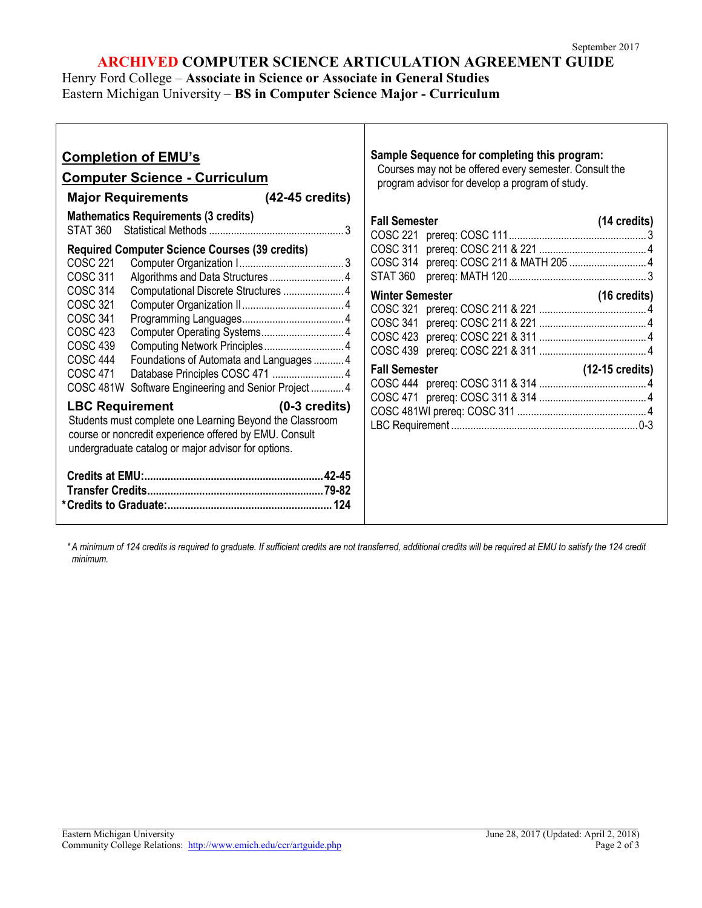### **ARCHIVED COMPUTER SCIENCE ARTICULATION AGREEMENT GUIDE**

Henry Ford College – **Associate in Science or Associate in General Studies** Eastern Michigan University – **BS in Computer Science Major - Curriculum**

| <b>Completion of EMU's</b><br><b>Computer Science - Curriculum</b><br>Major Requirements (42-45 credits)                                                                                                                                                                                           | Sample Sequence for completing this program:<br>Courses may not be offered every semester. Consult the<br>program advisor for develop a program of study. |
|----------------------------------------------------------------------------------------------------------------------------------------------------------------------------------------------------------------------------------------------------------------------------------------------------|-----------------------------------------------------------------------------------------------------------------------------------------------------------|
| <b>Mathematics Requirements (3 credits)</b><br><b>Required Computer Science Courses (39 credits)</b>                                                                                                                                                                                               | <b>Fall Semester</b><br>$(14 \text{ credits})$                                                                                                            |
| <b>COSC 221</b><br>Algorithms and Data Structures 4<br>COSC 311<br><b>COSC 314</b><br>Computational Discrete Structures  4<br>COSC 321<br>COSC 341<br>COSC 423<br><b>COSC 439</b><br><b>COSC 444</b><br>Foundations of Automata and Languages  4                                                   | <b>Winter Semester</b><br>$(16 \text{ credits})$                                                                                                          |
| COSC 471<br>COSC 481W Software Engineering and Senior Project  4<br><b>LBC Requirement</b><br>$(0-3 \text{ credits})$<br>Students must complete one Learning Beyond the Classroom<br>course or noncredit experience offered by EMU. Consult<br>undergraduate catalog or major advisor for options. |                                                                                                                                                           |
|                                                                                                                                                                                                                                                                                                    |                                                                                                                                                           |

*\* A minimum of 124 credits is required to graduate. If sufficient credits are not transferred, additional credits will be required at EMU to satisfy the 124 credit minimum.*